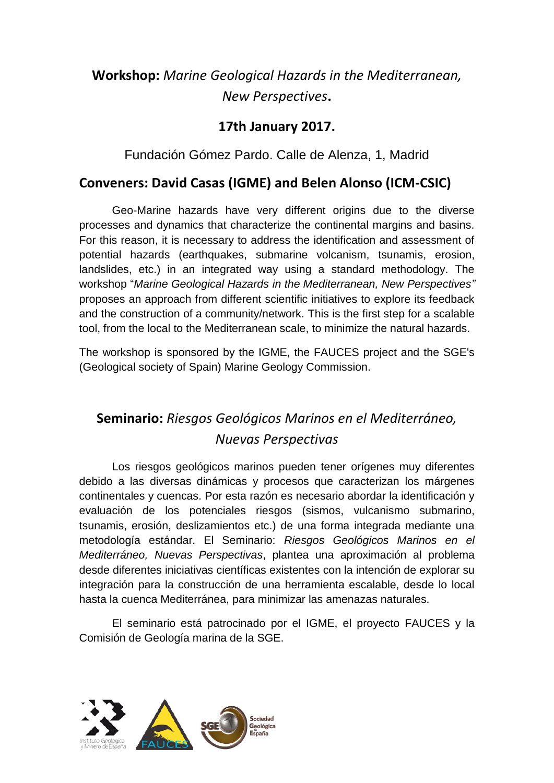# **Workshop:** *Marine Geological Hazards in the Mediterranean, New Perspectives***.**

#### **17th January 2017.**

Fundación Gómez Pardo. Calle de Alenza, 1, Madrid

#### **Conveners: David Casas (IGME) and Belen Alonso (ICM-CSIC)**

Geo-Marine hazards have very different origins due to the diverse processes and dynamics that characterize the continental margins and basins. For this reason, it is necessary to address the identification and assessment of potential hazards (earthquakes, submarine volcanism, tsunamis, erosion, landslides, etc.) in an integrated way using a standard methodology. The workshop "*Marine Geological Hazards in the Mediterranean, New Perspectives"* proposes an approach from different scientific initiatives to explore its feedback and the construction of a community/network. This is the first step for a scalable tool, from the local to the Mediterranean scale, to minimize the natural hazards.

The workshop is sponsored by the IGME, the FAUCES project and the SGE's (Geological society of Spain) Marine Geology Commission.

# **Seminario:** *Riesgos Geológicos Marinos en el Mediterráneo, Nuevas Perspectivas*

Los riesgos geológicos marinos pueden tener orígenes muy diferentes debido a las diversas dinámicas y procesos que caracterizan los márgenes continentales y cuencas. Por esta razón es necesario abordar la identificación y evaluación de los potenciales riesgos (sismos, vulcanismo submarino, tsunamis, erosión, deslizamientos etc.) de una forma integrada mediante una metodología estándar. El Seminario: *Riesgos Geológicos Marinos en el Mediterráneo, Nuevas Perspectivas*, plantea una aproximación al problema desde diferentes iniciativas científicas existentes con la intención de explorar su integración para la construcción de una herramienta escalable, desde lo local hasta la cuenca Mediterránea, para minimizar las amenazas naturales.

El seminario está patrocinado por el IGME, el proyecto FAUCES y la Comisión de Geología marina de la SGE.